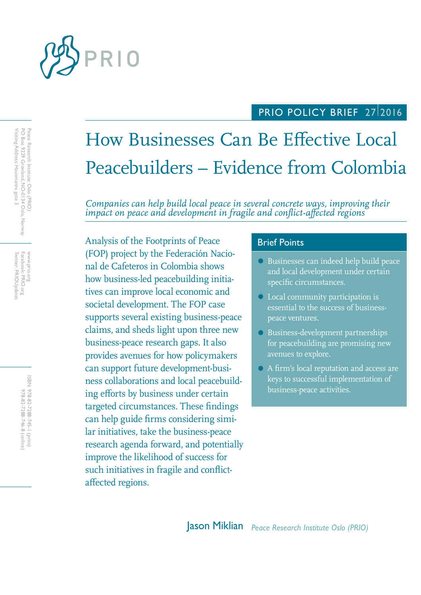

## PRIO POLICY BRIEF 2712016

# How Businesses Can Be Effective Local Peacebuilders – Evidence from Colombia

*Companies can help build local peace in several concrete ways, improving their impact on peace and development in fragile and conflict-affected regions*

Analysis of the Footprints of Peace **Brief Points** (FOP) project by the Federación Nacional de Cafeteros in Colombia shows how business-led peacebuilding initiatives can improve local economic and societal development. The FOP case supports several existing business-peace claims, and sheds light upon three new business-peace research gaps. It also provides avenues for how policymakers can support future development-business collaborations and local peacebuilding efforts by business under certain targeted circumstances. These findings can help guide firms considering similar initiatives, take the business-peace research agenda forward, and potentially improve the likelihood of success for such initiatives in fragile and conflictaffected regions.

- Businesses can indeed help build peace and local development under certain specific circumstances.
- Local community participation is essential to the success of businesspeace ventures.
- Business-development partnerships for peacebuilding are promising new avenues to explore.
- A firm's local reputation and access are keys to successful implementation of business-peace activities.

Facebook: PRIO.org<br>Twitter: PRIOUpdates Twitter: PRIOUpdates Facebook: PRIO.org WWW.prio.org www.prio.org

> ISBN: 978-82-7288-745-1 (print) 978-82-7288-746-8 (online) 978-82-7288-746-8 (online) 978-82-7288-745-1 (print)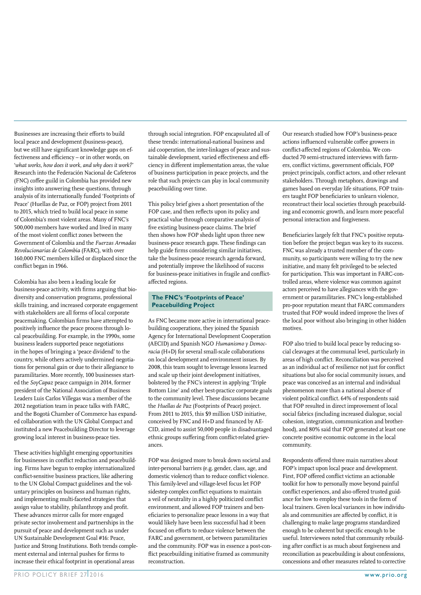Businesses are increasing their efforts to build local peace and development (business-peace), but we still have significant knowledge gaps on effectiveness and efficiency – or in other words, on '*what works, how does it work, and why does it work?*' Research into the Federación Nacional de Cafeteros (FNC) coffee guild in Colombia has provided new insights into answering these questions, through analysis of its internationally funded 'Footprints of Peace' (Huellas de Paz, or FOP) project from 2011 to 2015, which tried to build local peace in some of Colombia's most violent areas. Many of FNC's 500,000 members have worked and lived in many of the most violent conflict zones between the Government of Colombia and the *Fuerzas Armadas Revolucionarias de Colombia* (FARC), with over 160,000 FNC members killed or displaced since the conflict began in 1966.

Colombia has also been a leading locale for business-peace activity, with firms arguing that biodiversity and conservation programs, professional skills training, and increased corporate engagement with stakeholders are all forms of local corporate peacemaking. Colombian firms have attempted to positively influence the peace process through local peacebuilding. For example, in the 1990s, some business leaders supported peace negotiations in the hopes of bringing a 'peace dividend' to the country, while others actively undermined negotiations for personal gain or due to their allegiance to paramilitaries. More recently, 100 businesses started the *SoyCapaz* peace campaign in 2014, former president of the National Association of Business Leaders Luis Carlos Villegas was a member of the 2012 negotiation team in peace talks with FARC, and the Bogotá Chamber of Commerce has expanded collaboration with the UN Global Compact and instituted a new Peacebuilding Director to leverage growing local interest in business-peace ties.

These activities highlight emerging opportunities for businesses in conflict reduction and peacebuilding. Firms have begun to employ internationalized conflict-sensitive business practices, like adhering to the UN Global Compact guidelines and the voluntary principles on business and human rights, and implementing multi-faceted strategies that assign value to stability, philanthropy and profit. These advances mirror calls for more engaged private sector involvement and partnerships in the pursuit of peace and development such as under UN Sustainable Development Goal #16: Peace, Justice and Strong Institutions. Both trends complement external and internal pushes for firms to increase their ethical footprint in operational areas

through social integration. FOP encapsulated all of these trends: international-national business and aid cooperation, the inter-linkages of peace and sustainable development, varied effectiveness and efficiency in different implementation areas, the value of business participation in peace projects, and the role that such projects can play in local community peacebuilding over time.

This policy brief gives a short presentation of the FOP case, and then reflects upon its policy and practical value through comparative analysis of five existing business-peace claims. The brief then shows how FOP sheds light upon three new business-peace research gaps. These findings can help guide firms considering similar initiatives, take the business-peace research agenda forward, and potentially improve the likelihood of success for business-peace initiatives in fragile and conflictaffected regions.

#### **The FNC's 'Footprints of Peace' Peacebuilding Project**

As FNC became more active in international peacebuilding cooperations, they joined the Spanish Agency for International Development Cooperation (AECID) and Spanish NGO *Humanismo y Democracia* (H+D) for several small-scale collaborations on local development and environment issues. By 2008, this team sought to leverage lessons learned and scale up their joint development initiatives, bolstered by the FNC's interest in applying 'Triple Bottom Line' and other best-practice corporate goals to the community level. These discussions became the *Huellas de Paz* (Footprints of Peace) project. From 2011 to 2015, this \$9 million USD initiative, conceived by FNC and H+D and financed by AE-CID, aimed to assist 50,000 people in disadvantaged ethnic groups suffering from conflict-related grievances.

FOP was designed more to break down societal and inter-personal barriers (e.g. gender, class, age, and domestic violence) than to reduce conflict violence. This family-level and village-level focus let FOP sidestep complex conflict equations to maintain a veil of neutrality in a highly politicized conflict environment, and allowed FOP trainers and beneficiaries to personalize peace lessons in a way that would likely have been less successful had it been focused on efforts to reduce violence between the FARC and government, or between paramilitaries and the community. FOP was in essence a post-conflict peacebuilding initiative framed as community reconstruction.

Our research studied how FOP's business-peace actions influenced vulnerable coffee growers in conflict-affected regions of Colombia. We conducted 70 semi-structured interviews with farmers, conflict victims, government officials, FOP project principals, conflict actors, and other relevant stakeholders. Through metaphors, drawings and games based on everyday life situations, FOP trainers taught FOP beneficiaries to unlearn violence, reconstruct their local societies through peacebuilding and economic growth, and learn more peaceful personal interaction and forgiveness.

Beneficiaries largely felt that FNC's positive reputation before the project began was key to its success. FNC was already a trusted member of the community, so participants were willing to try the new initiative, and many felt privileged to be selected for participation. This was important in FARC-controlled areas, where violence was common against actors perceived to have allegiances with the government or paramilitaries. FNC's long-established pro-poor reputation meant that FARC commanders trusted that FOP would indeed improve the lives of the local poor without also bringing in other hidden motives.

FOP also tried to build local peace by reducing social cleavages at the communal level, particularly in areas of high conflict. Reconciliation was perceived as an individual act of resilience not just for conflict situations but also for social community issues, and peace was conceived as an internal and individual phenomenon more than a national absence of violent political conflict. 64% of respondents said that FOP resulted in direct improvement of local social fabrics (including increased dialogue, social cohesion, integration, communication and brotherhood), and 80% said that FOP generated at least one concrete positive economic outcome in the local community.

Respondents offered three main narratives about FOP's impact upon local peace and development. First, FOP offered conflict victims an actionable toolkit for how to personally move beyond painful conflict experiences, and also offered trusted guidance for how to employ these tools in the form of local trainers. Given local variances in how individuals and communities are affected by conflict, it is challenging to make large programs standardized enough to be coherent but specific enough to be useful. Interviewees noted that community rebuilding after conflict is as much about forgiveness and reconciliation as peacebuilding is about confessions, concessions and other measures related to corrective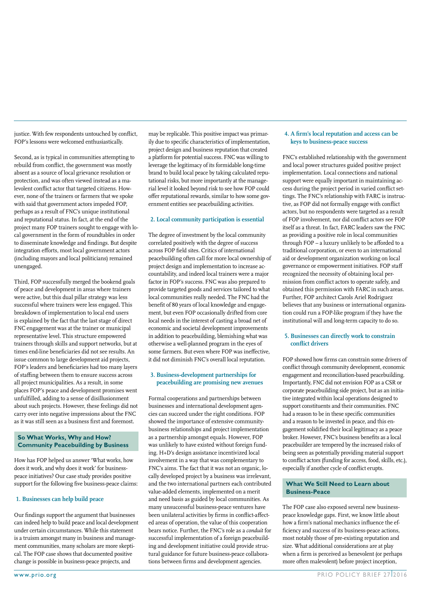justice. With few respondents untouched by conflict, FOP's lessons were welcomed enthusiastically.

Second, as is typical in communities attempting to rebuild from conflict, the government was mostly absent as a source of local grievance resolution or protection, and was often viewed instead as a malevolent conflict actor that targeted citizens. However, none of the trainers or farmers that we spoke with said that government actors impeded FOP, perhaps as a result of FNC's unique institutional and reputational status. In fact, at the end of the project many FOP trainers sought to engage with local government in the form of roundtables in order to disseminate knowledge and findings. But despite integration efforts, most local government actors (including mayors and local politicians) remained unengaged.

Third, FOP successfully merged the bookend goals of peace and development in areas where trainers were active, but this dual pillar strategy was less successful where trainers were less engaged. This breakdown of implementation to local end users is explained by the fact that the last stage of direct FNC engagement was at the trainer or municipal representative level. This structure empowered trainers through skills and support networks, but at times end-line beneficiaries did not see results. An issue common to large development aid projects, FOP's leaders and beneficiaries had too many layers of staffing between them to ensure success across all project municipalities. As a result, in some places FOP's peace and development promises went unfulfilled, adding to a sense of disillusionment about such projects. However, these feelings did not carry over into negative impressions about the FNC as it was still seen as a business first and foremost.

#### **So What Works, Why and How? Community Peacebuilding by Business**

How has FOP helped us answer 'What works, how does it work, and why does it work' for businesspeace initiatives? Our case study provides positive support for the following five business-peace claims:

#### **1. Businesses can help build peace**

Our findings support the argument that businesses can indeed help to build peace and local development under certain circumstances. While this statement is a truism amongst many in business and management communities, many scholars are more skeptical. The FOP case shows that documented positive change is possible in business-peace projects, and

may be replicable. This positive impact was primarily due to specific characteristics of implementation, project design and business reputation that created a platform for potential success. FNC was willing to leverage the legitimacy of its formidable long-time brand to build local peace by taking calculated reputational risks, but more importantly at the managerial level it looked beyond risk to see how FOP could offer reputational rewards, similar to how some government entities see peacebuilding activities.

#### **2. Local community participation is essential**

The degree of investment by the local community correlated positively with the degree of success across FOP field sites. Critics of international peacebuilding often call for more local ownership of project design and implementation to increase accountability, and indeed local trainers were a major factor in FOP's success. FNC was also prepared to provide targeted goods and services tailored to what local communities really needed. The FNC had the benefit of 80 years of local knowledge and engagement, but even FOP occasionally drifted from core local needs in the interest of casting a broad net of economic and societal development improvements in addition to peacebuilding, blemishing what was otherwise a well-planned program in the eyes of some farmers. But even where FOP was ineffective, it did not diminish FNC's overall local reputation.

#### **3. Business-development partnerships for peacebuilding are promising new avenues**

Formal cooperations and partnerships between businesses and international development agencies can succeed under the right conditions. FOP showed the importance of extensive communitybusiness relationships and project implementation as a partnership amongst equals. However, FOP was unlikely to have existed without foreign funding. H+D's design assistance incentivized local involvement in a way that was complementary to FNC's aims. The fact that it was not an organic, locally developed project by a business was irrelevant, and the two international partners each contributed value-added elements, implemented on a merit and need basis as guided by local communities. As many unsuccessful business-peace ventures have been unilateral activities by firms in conflict-affected areas of operation, the value of this cooperation bears notice. Further, the FNC's role as a *conduit* for successful implementation of a foreign peacebuilding and development initiative could provide structural guidance for future business-peace collaborations between firms and development agencies.

#### **4. A firm's local reputation and access can be keys to business-peace success**

FNC's established relationship with the government and local power structures guided positive project implementation. Local connections and national support were equally important in maintaining access during the project period in varied conflict settings. The FNC's relationship with FARC is instructive, as FOP did not formally engage with conflict actors, but no respondents were targeted as a result of FOP involvement, nor did conflict actors see FOP itself as a threat. In fact, FARC leaders saw the FNC as providing a positive role in local communities through FOP – a luxury unlikely to be afforded to a traditional corporation, or even to an international aid or development organization working on local governance or empowerment initiatives. FOP staff recognized the necessity of obtaining local permission from conflict actors to operate safely, and obtained this permission with FARC in such areas. Further, FOP architect Carols Ariel Rodriguez believes that any business or international organization could run a FOP-like program if they have the institutional will and long-term capacity to do so.

#### **5. Businesses can directly work to constrain conflict drivers**

FOP showed how firms can constrain some drivers of conflict through community development, economic engagement and reconciliation-based peacebuilding. Importantly, FNC did not envision FOP as a CSR or corporate peacebuilding side project, but as an initiative integrated within local operations designed to support constituents and their communities. FNC had a reason to be in these specific communities and a reason to be invested in peace, and this engagement solidified their local legitimacy as a peace broker. However, FNC's business benefits as a local peacebuilder are tempered by the increased risks of being seen as potentially providing material support to conflict actors (funding for access, food, skills, etc.), especially if another cycle of conflict erupts.

#### **What We Still Need to Learn about Business-Peace**

The FOP case also exposed several new businesspeace knowledge gaps. First, we know little about how a firm's national mechanics influence the efficiency and success of its business-peace actions, most notably those of pre-existing reputation and size. What additional considerations are at play when a firm is perceived as benevolent (or perhaps more often malevolent) before project inception,